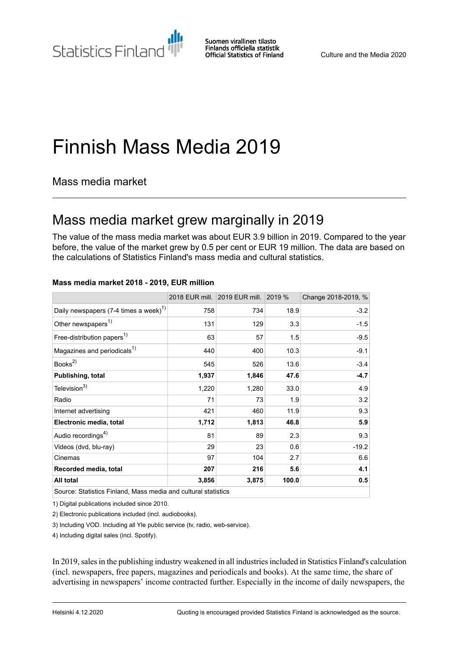Statistics Finland

Suomen virallinen tilasto Finlands officiella statistik **Official Statistics of Finland** 

# Finnish Mass Media 2019

Mass media market

### Mass media market grew marginally in 2019

The value of the mass media market was about EUR 3.9 billion in 2019. Compared to the year before, the value of the market grew by 0.5 per cent or EUR 19 million. The data are based on the calculations of Statistics Finland's mass media and cultural statistics.

|                                                                |       | 2018 EUR mill. 2019 EUR mill. 2019 % |       | Change 2018-2019, % |
|----------------------------------------------------------------|-------|--------------------------------------|-------|---------------------|
| Daily newspapers (7-4 times a week) <sup>1)</sup>              | 758   | 734                                  | 18.9  | $-3.2$              |
| Other newspapers <sup>1)</sup>                                 | 131   | 129                                  | 3.3   | $-1.5$              |
| Free-distribution papers <sup>1)</sup>                         | 63    | 57                                   | 1.5   | $-9.5$              |
| Magazines and periodicals <sup>1)</sup>                        | 440   | 400                                  | 10.3  | $-9.1$              |
| Books $^{2)}$                                                  | 545   | 526                                  | 13.6  | $-3.4$              |
| Publishing, total                                              | 1,937 | 1,846                                | 47.6  | $-4.7$              |
| Television <sup>3)</sup>                                       | 1,220 | 1,280                                | 33.0  | 4.9                 |
| Radio                                                          | 71    | 73                                   | 1.9   | 3.2                 |
| Internet advertising                                           | 421   | 460                                  | 11.9  | 9.3                 |
| Electronic media, total                                        | 1,712 | 1,813                                | 46.8  | 5.9                 |
| Audio recordings <sup>4)</sup>                                 | 81    | 89                                   | 2.3   | 9.3                 |
| Videos (dvd, blu-ray)                                          | 29    | 23                                   | 0.6   | $-19.2$             |
| Cinemas                                                        | 97    | 104                                  | 2.7   | 6.6                 |
| Recorded media, total                                          | 207   | 216                                  | 5.6   | 4.1                 |
| All total                                                      | 3,856 | 3,875                                | 100.0 | 0.5                 |
| Source: Statistics Finland, Mass media and cultural statistics |       |                                      |       |                     |

#### **Mass media market 2018 - 2019, EUR million**

1) Digital publications included since 2010.

2) Electronic publications included (incl. audiobooks).

3) Including VOD. Including all Yle public service (tv, radio, web-service).

4) Including digital sales (incl. Spotify).

In 2019,salesin the publishing industry weakened in all industriesincluded in Statistics Finland's calculation (incl. newspapers, free papers, magazines and periodicals and books). At the same time, the share of advertising in newspapers' income contracted further. Especially in the income of daily newspapers, the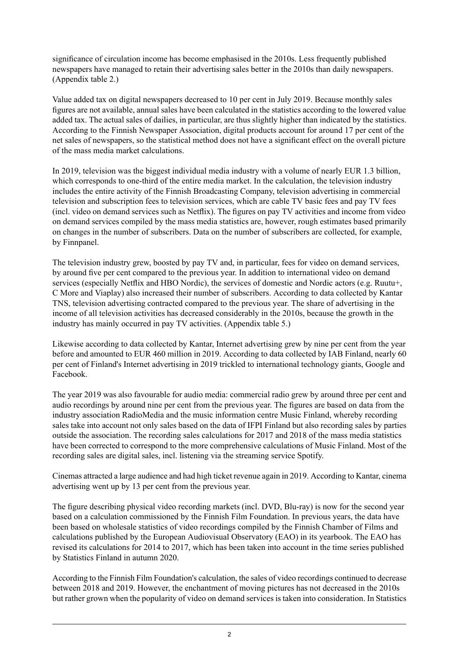significance of circulation income has become emphasised in the 2010s. Less frequently published newspapers have managed to retain their advertising sales better in the 2010s than daily newspapers. (Appendix table 2.)

Value added tax on digital newspapers decreased to 10 per cent in July 2019. Because monthly sales figures are not available, annual sales have been calculated in the statistics according to the lowered value added tax. The actual sales of dailies, in particular, are thus slightly higher than indicated by the statistics. According to the Finnish Newspaper Association, digital products account for around 17 per cent of the net sales of newspapers, so the statistical method does not have a significant effect on the overall picture of the mass media market calculations.

In 2019, television was the biggest individual media industry with a volume of nearly EUR 1.3 billion, which corresponds to one-third of the entire media market. In the calculation, the television industry includes the entire activity of the Finnish Broadcasting Company, television advertising in commercial television and subscription fees to television services, which are cable TV basic fees and pay TV fees (incl. video on demand services such as Netflix). The figures on pay TV activities and income from video on demand services compiled by the mass media statistics are, however, rough estimates based primarily on changes in the number of subscribers. Data on the number of subscribers are collected, for example, by Finnpanel.

The television industry grew, boosted by pay TV and, in particular, fees for video on demand services, by around five per cent compared to the previous year. In addition to international video on demand services (especially Netflix and HBO Nordic), the services of domestic and Nordic actors (e.g. Ruutu+, C More and Viaplay) also increased their number of subscribers. According to data collected by Kantar TNS, television advertising contracted compared to the previous year. The share of advertising in the income of all television activities has decreased considerably in the 2010s, because the growth in the industry has mainly occurred in pay TV activities. (Appendix table 5.)

Likewise according to data collected by Kantar, Internet advertising grew by nine per cent from the year before and amounted to EUR 460 million in 2019. According to data collected by IAB Finland, nearly 60 per cent of Finland's Internet advertising in 2019 trickled to international technology giants, Google and Facebook.

The year 2019 was also favourable for audio media: commercial radio grew by around three per cent and audio recordings by around nine per cent from the previous year. The figures are based on data from the industry association RadioMedia and the music information centre Music Finland, whereby recording sales take into account not only sales based on the data of IFPI Finland but also recording sales by parties outside the association. The recording sales calculations for 2017 and 2018 of the mass media statistics have been corrected to correspond to the more comprehensive calculations of Music Finland. Most of the recording sales are digital sales, incl. listening via the streaming service Spotify.

Cinemas attracted a large audience and had high ticket revenue again in 2019. According to Kantar, cinema advertising went up by 13 per cent from the previous year.

The figure describing physical video recording markets (incl. DVD, Blu-ray) is now for the second year based on a calculation commissioned by the Finnish Film Foundation. In previous years, the data have been based on wholesale statistics of video recordings compiled by the Finnish Chamber of Films and calculations published by the European Audiovisual Observatory (EAO) in its yearbook. The EAO has revised its calculations for 2014 to 2017, which has been taken into account in the time series published by Statistics Finland in autumn 2020.

According to the Finnish Film Foundation's calculation, the sales of video recordings continued to decrease between 2018 and 2019. However, the enchantment of moving pictures has not decreased in the 2010s but rather grown when the popularity of video on demand services is taken into consideration. In Statistics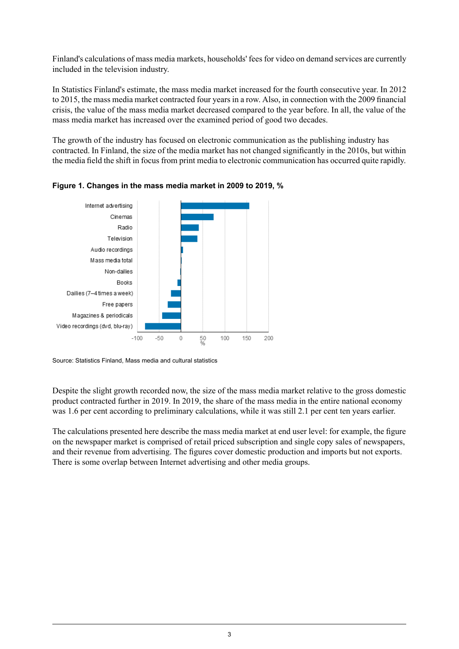Finland's calculations of mass media markets, households' fees for video on demand services are currently included in the television industry.

In Statistics Finland's estimate, the mass media market increased for the fourth consecutive year. In 2012 to 2015, the mass media market contracted four years in a row. Also, in connection with the 2009 financial crisis, the value of the mass media market decreased compared to the year before. In all, the value of the mass media market has increased over the examined period of good two decades.

The growth of the industry has focused on electronic communication as the publishing industry has contracted. In Finland, the size of the media market has not changed significantly in the 2010s, but within the media field the shift in focus from print media to electronic communication has occurred quite rapidly.





Source: Statistics Finland, Mass media and cultural statistics

Despite the slight growth recorded now, the size of the mass media market relative to the gross domestic product contracted further in 2019. In 2019, the share of the mass media in the entire national economy was 1.6 per cent according to preliminary calculations, while it was still 2.1 per cent ten years earlier.

The calculations presented here describe the mass media market at end user level: for example, the figure on the newspaper market is comprised of retail priced subscription and single copy sales of newspapers, and their revenue from advertising. The figures cover domestic production and imports but not exports. There is some overlap between Internet advertising and other media groups.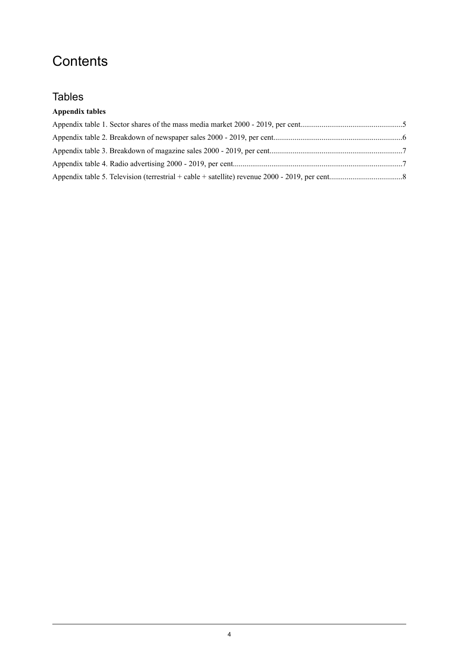### **Contents**

### **Tables**

### **Appendix tables**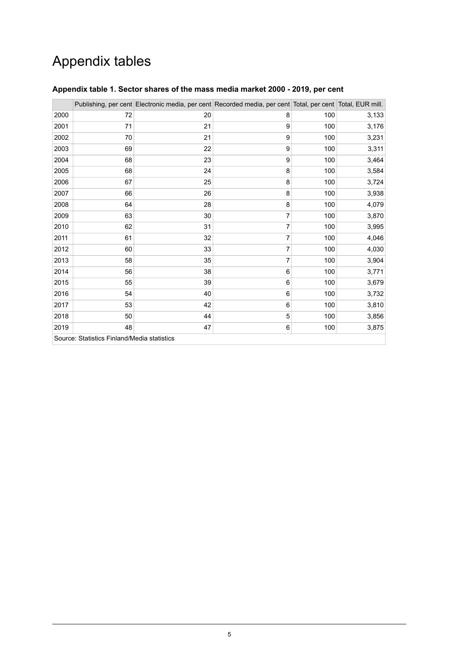## Appendix tables

|                                             |    | Publishing, per cent Electronic media, per cent Recorded media, per cent Total, per cent Total, EUR mill. |   |     |       |  |
|---------------------------------------------|----|-----------------------------------------------------------------------------------------------------------|---|-----|-------|--|
| 2000                                        | 72 | 20                                                                                                        | 8 | 100 | 3,133 |  |
| 2001                                        | 71 | 21                                                                                                        | 9 | 100 | 3,176 |  |
| 2002                                        | 70 | 21                                                                                                        | 9 | 100 | 3,231 |  |
| 2003                                        | 69 | 22                                                                                                        | 9 | 100 | 3,311 |  |
| 2004                                        | 68 | 23                                                                                                        | 9 | 100 | 3,464 |  |
| 2005                                        | 68 | 24                                                                                                        | 8 | 100 | 3,584 |  |
| 2006                                        | 67 | 25                                                                                                        | 8 | 100 | 3,724 |  |
| 2007                                        | 66 | 26                                                                                                        | 8 | 100 | 3,938 |  |
| 2008                                        | 64 | 28                                                                                                        | 8 | 100 | 4,079 |  |
| 2009                                        | 63 | 30                                                                                                        | 7 | 100 | 3,870 |  |
| 2010                                        | 62 | 31                                                                                                        | 7 | 100 | 3,995 |  |
| 2011                                        | 61 | 32                                                                                                        | 7 | 100 | 4,046 |  |
| 2012                                        | 60 | 33                                                                                                        | 7 | 100 | 4,030 |  |
| 2013                                        | 58 | 35                                                                                                        | 7 | 100 | 3,904 |  |
| 2014                                        | 56 | 38                                                                                                        | 6 | 100 | 3,771 |  |
| 2015                                        | 55 | 39                                                                                                        | 6 | 100 | 3,679 |  |
| 2016                                        | 54 | 40                                                                                                        | 6 | 100 | 3,732 |  |
| 2017                                        | 53 | 42                                                                                                        | 6 | 100 | 3,810 |  |
| 2018                                        | 50 | 44                                                                                                        | 5 | 100 | 3,856 |  |
| 2019                                        | 48 | 47                                                                                                        | 6 | 100 | 3,875 |  |
| Source: Statistics Finland/Media statistics |    |                                                                                                           |   |     |       |  |

### <span id="page-4-0"></span>**Appendix table 1. Sector shares of the mass media market 2000 - 2019, per cent**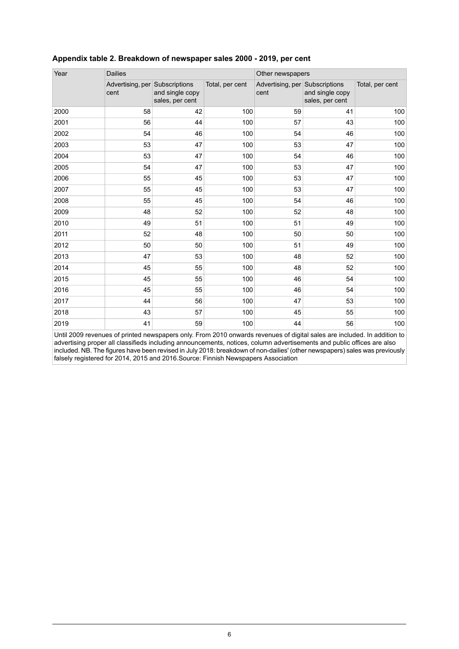| Year | <b>Dailies</b>                         |                                    |                 | Other newspapers                       |                                    |                 |
|------|----------------------------------------|------------------------------------|-----------------|----------------------------------------|------------------------------------|-----------------|
|      | Advertising, per Subscriptions<br>cent | and single copy<br>sales, per cent | Total, per cent | Advertising, per Subscriptions<br>cent | and single copy<br>sales, per cent | Total, per cent |
| 2000 | 58                                     | 42                                 | 100             | 59                                     | 41                                 | 100             |
| 2001 | 56                                     | 44                                 | 100             | 57                                     | 43                                 | 100             |
| 2002 | 54                                     | 46                                 | 100             | 54                                     | 46                                 | 100             |
| 2003 | 53                                     | 47                                 | 100             | 53                                     | 47                                 | 100             |
| 2004 | 53                                     | 47                                 | 100             | 54                                     | 46                                 | 100             |
| 2005 | 54                                     | 47                                 | 100             | 53                                     | 47                                 | 100             |
| 2006 | 55                                     | 45                                 | 100             | 53                                     | 47                                 | 100             |
| 2007 | 55                                     | 45                                 | 100             | 53                                     | 47                                 | 100             |
| 2008 | 55                                     | 45                                 | 100             | 54                                     | 46                                 | 100             |
| 2009 | 48                                     | 52                                 | 100             | 52                                     | 48                                 | 100             |
| 2010 | 49                                     | 51                                 | 100             | 51                                     | 49                                 | 100             |
| 2011 | 52                                     | 48                                 | 100             | 50                                     | 50                                 | 100             |
| 2012 | 50                                     | 50                                 | 100             | 51                                     | 49                                 | 100             |
| 2013 | 47                                     | 53                                 | 100             | 48                                     | 52                                 | 100             |
| 2014 | 45                                     | 55                                 | 100             | 48                                     | 52                                 | 100             |
| 2015 | 45                                     | 55                                 | 100             | 46                                     | 54                                 | 100             |
| 2016 | 45                                     | 55                                 | 100             | 46                                     | 54                                 | 100             |
| 2017 | 44                                     | 56                                 | 100             | 47                                     | 53                                 | 100             |
| 2018 | 43                                     | 57                                 | 100             | 45                                     | 55                                 | 100             |
| 2019 | 41                                     | 59                                 | 100             | 44                                     | 56                                 | 100             |

### <span id="page-5-0"></span>**Appendix table 2. Breakdown of newspaper sales 2000 - 2019, per cent**

Until 2009 revenues of printed newspapers only. From 2010 onwards revenues of digital sales are included. In addition to advertising proper all classifieds including announcements, notices, column advertisements and public offices are also included. NB. The figures have been revised in July 2018: breakdown of non-dailies' (other newspapers) sales was previously falsely registered for 2014, 2015 and 2016.Source: Finnish Newspapers Association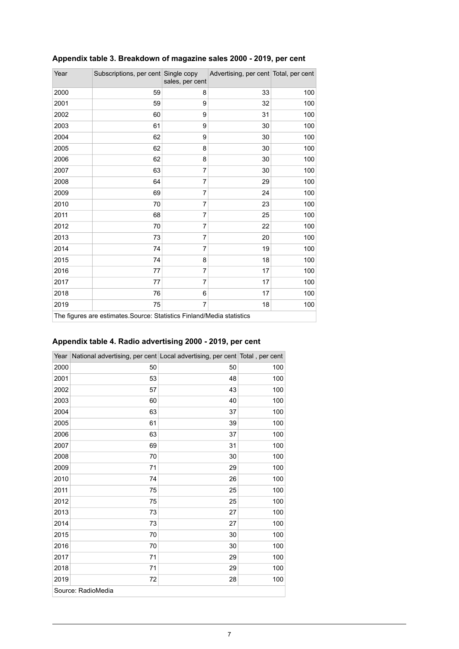| Year                                                                  | Subscriptions, per cent Single copy | sales, per cent | Advertising, per cent Total, per cent |     |  |  |
|-----------------------------------------------------------------------|-------------------------------------|-----------------|---------------------------------------|-----|--|--|
| 2000                                                                  | 59                                  | 8               | 33                                    | 100 |  |  |
| 2001                                                                  | 59                                  | 9               | 32                                    | 100 |  |  |
| 2002                                                                  | 60                                  | 9               | 31                                    | 100 |  |  |
| 2003                                                                  | 61                                  | 9               | 30                                    | 100 |  |  |
| 2004                                                                  | 62                                  | 9               | 30                                    | 100 |  |  |
| 2005                                                                  | 62                                  | 8               | 30                                    | 100 |  |  |
| 2006                                                                  | 62                                  | 8               | 30                                    | 100 |  |  |
| 2007                                                                  | 63                                  | 7               | 30                                    | 100 |  |  |
| 2008                                                                  | 64                                  | 7               | 29                                    | 100 |  |  |
| 2009                                                                  | 69                                  | 7               | 24                                    | 100 |  |  |
| 2010                                                                  | 70                                  | 7               | 23                                    | 100 |  |  |
| 2011                                                                  | 68                                  | 7               | 25                                    | 100 |  |  |
| 2012                                                                  | 70                                  | 7               | 22                                    | 100 |  |  |
| 2013                                                                  | 73                                  | 7               | 20                                    | 100 |  |  |
| 2014                                                                  | 74                                  | 7               | 19                                    | 100 |  |  |
| 2015                                                                  | 74                                  | 8               | 18                                    | 100 |  |  |
| 2016                                                                  | 77                                  | 7               | 17                                    | 100 |  |  |
| 2017                                                                  | 77                                  | 7               | 17                                    | 100 |  |  |
| 2018                                                                  | 76                                  | 6               | 17                                    | 100 |  |  |
| 2019                                                                  | 75                                  | 7               | 18                                    | 100 |  |  |
| The figures are estimates Source: Statistics Finland/Media statistics |                                     |                 |                                       |     |  |  |

### <span id="page-6-0"></span>**Appendix table 3. Breakdown of magazine sales 2000 - 2019, per cent**

<span id="page-6-1"></span>**Appendix table 4. Radio advertising 2000 - 2019, per cent**

| Year | National advertising, per cent Local advertising, per cent Total, per cent |    |     |
|------|----------------------------------------------------------------------------|----|-----|
| 2000 | 50                                                                         | 50 | 100 |
| 2001 | 53                                                                         | 48 | 100 |
| 2002 | 57                                                                         | 43 | 100 |
| 2003 | 60                                                                         | 40 | 100 |
| 2004 | 63                                                                         | 37 | 100 |
| 2005 | 61                                                                         | 39 | 100 |
| 2006 | 63                                                                         | 37 | 100 |
| 2007 | 69                                                                         | 31 | 100 |
| 2008 | 70                                                                         | 30 | 100 |
| 2009 | 71                                                                         | 29 | 100 |
| 2010 | 74                                                                         | 26 | 100 |
| 2011 | 75                                                                         | 25 | 100 |
| 2012 | 75                                                                         | 25 | 100 |
| 2013 | 73                                                                         | 27 | 100 |
| 2014 | 73                                                                         | 27 | 100 |
| 2015 | 70                                                                         | 30 | 100 |
| 2016 | 70                                                                         | 30 | 100 |
| 2017 | 71                                                                         | 29 | 100 |
| 2018 | 71                                                                         | 29 | 100 |
| 2019 | 72                                                                         | 28 | 100 |
|      | Source: RadioMedia                                                         |    |     |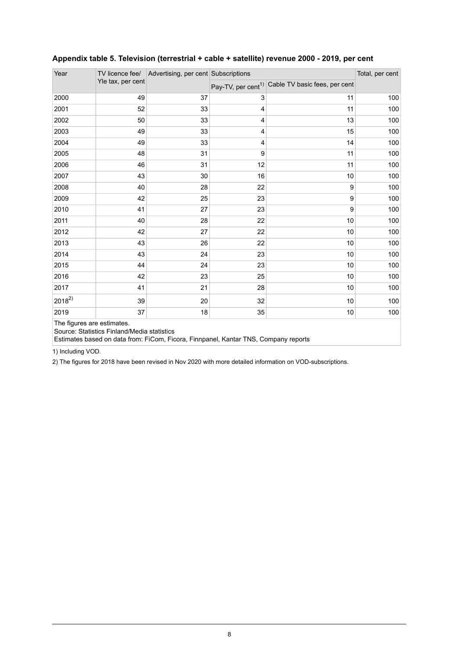| Year                                                                                                                                                             | TV licence fee/<br>Yle tax, per cent | Advertising, per cent Subscriptions |    | Total, per cent                                              |     |  |
|------------------------------------------------------------------------------------------------------------------------------------------------------------------|--------------------------------------|-------------------------------------|----|--------------------------------------------------------------|-----|--|
|                                                                                                                                                                  |                                      |                                     |    | Pay-TV, per cent <sup>1)</sup> Cable TV basic fees, per cent |     |  |
| 2000                                                                                                                                                             | 49                                   | 37                                  | 3  | 11                                                           | 100 |  |
| 2001                                                                                                                                                             | 52                                   | 33                                  | 4  | 11                                                           | 100 |  |
| 2002                                                                                                                                                             | 50                                   | 33                                  | 4  | 13                                                           | 100 |  |
| 2003                                                                                                                                                             | 49                                   | 33                                  | 4  | 15                                                           | 100 |  |
| 2004                                                                                                                                                             | 49                                   | 33                                  | 4  | 14                                                           | 100 |  |
| 2005                                                                                                                                                             | 48                                   | 31                                  | 9  | 11                                                           | 100 |  |
| 2006                                                                                                                                                             | 46                                   | 31                                  | 12 | 11                                                           | 100 |  |
| 2007                                                                                                                                                             | 43                                   | 30                                  | 16 | 10                                                           | 100 |  |
| 2008                                                                                                                                                             | 40                                   | 28                                  | 22 | 9                                                            | 100 |  |
| 2009                                                                                                                                                             | 42                                   | 25                                  | 23 | 9                                                            | 100 |  |
| 2010                                                                                                                                                             | 41                                   | 27                                  | 23 | 9                                                            | 100 |  |
| 2011                                                                                                                                                             | 40                                   | 28                                  | 22 | 10                                                           | 100 |  |
| 2012                                                                                                                                                             | 42                                   | 27                                  | 22 | 10                                                           | 100 |  |
| 2013                                                                                                                                                             | 43                                   | 26                                  | 22 | 10                                                           | 100 |  |
| 2014                                                                                                                                                             | 43                                   | 24                                  | 23 | 10                                                           | 100 |  |
| 2015                                                                                                                                                             | 44                                   | 24                                  | 23 | 10                                                           | 100 |  |
| 2016                                                                                                                                                             | 42                                   | 23                                  | 25 | 10                                                           | 100 |  |
| 2017                                                                                                                                                             | 41                                   | 21                                  | 28 | 10                                                           | 100 |  |
| $2018^{2}$                                                                                                                                                       | 39                                   | 20                                  | 32 | 10                                                           | 100 |  |
| 2019                                                                                                                                                             | 37                                   | 18                                  | 35 | 10                                                           | 100 |  |
| The figures are estimates.<br>Source: Statistics Finland/Media statistics<br>Estimates based on data from: FiCom, Ficora, Finnpanel, Kantar TNS, Company reports |                                      |                                     |    |                                                              |     |  |

### <span id="page-7-0"></span>**Appendix table 5. Television (terrestrial + cable + satellite) revenue 2000 - 2019, per cent**

1) Including VOD.

2) The figures for 2018 have been revised in Nov 2020 with more detailed information on VOD-subscriptions.